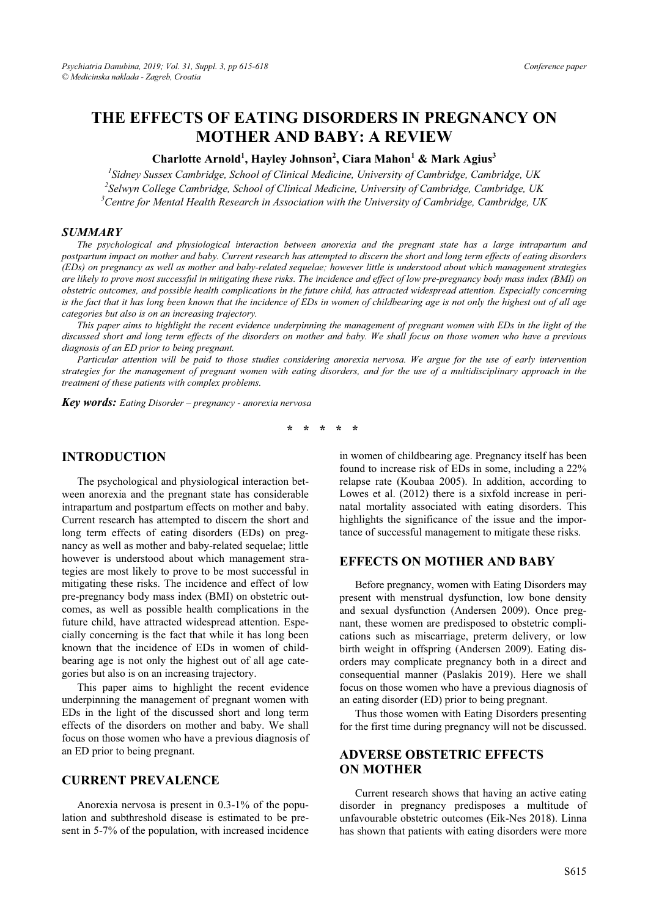# **THE EFFECTS OF EATING DISORDERS IN PREGNANCY ON MOTHER AND BABY: A REVIEW**

#### **Charlotte Arnold<sup>1</sup> , Hayley Johnson2 , Ciara Mahon1 & Mark Agius3**

<sup>1</sup> Sidney Sussex Cambridge, School of Clinical Medicine, University of Cambridge, Cambridge, UK<br><sup>2</sup> Sehmu College Cambridge, School of Clinical Medicine, University of Cambridge, Cambridge, UK *Selwyn College Cambridge, School of Clinical Medicine, University of Cambridge, Cambridge, UK 3* <sup>3</sup> Centre for Mental Health Research in Association with the University of Cambridge, Cambridge, UK

#### *SUMMARY*

*The psychological and physiological interaction between anorexia and the pregnant state has a large intrapartum and postpartum impact on mother and baby. Current research has attempted to discern the short and long term effects of eating disorders (EDs) on pregnancy as well as mother and baby-related sequelae; however little is understood about which management strategies are likely to prove most successful in mitigating these risks. The incidence and effect of low pre-pregnancy body mass index (BMI) on obstetric outcomes, and possible health complications in the future child, has attracted widespread attention. Especially concerning*  is the fact that it has long been known that the incidence of EDs in women of childbearing age is not only the highest out of all age *categories but also is on an increasing trajectory.* 

*This paper aims to highlight the recent evidence underpinning the management of pregnant women with EDs in the light of the discussed short and long term effects of the disorders on mother and baby. We shall focus on those women who have a previous diagnosis of an ED prior to being pregnant.* 

*Particular attention will be paid to those studies considering anorexia nervosa. We argue for the use of early intervention strategies for the management of pregnant women with eating disorders, and for the use of a multidisciplinary approach in the treatment of these patients with complex problems.* 

*Key words: Eating Disorder – pregnancy - anorexia nervosa* 

**\* \* \* \* \*** 

#### **INTRODUCTION**

The psychological and physiological interaction between anorexia and the pregnant state has considerable intrapartum and postpartum effects on mother and baby. Current research has attempted to discern the short and long term effects of eating disorders (EDs) on pregnancy as well as mother and baby-related sequelae; little however is understood about which management strategies are most likely to prove to be most successful in mitigating these risks. The incidence and effect of low pre-pregnancy body mass index (BMI) on obstetric outcomes, as well as possible health complications in the future child, have attracted widespread attention. Especially concerning is the fact that while it has long been known that the incidence of EDs in women of childbearing age is not only the highest out of all age categories but also is on an increasing trajectory.

This paper aims to highlight the recent evidence underpinning the management of pregnant women with EDs in the light of the discussed short and long term effects of the disorders on mother and baby. We shall focus on those women who have a previous diagnosis of an ED prior to being pregnant.

#### **CURRENT PREVALENCE**

Anorexia nervosa is present in 0.3-1% of the population and subthreshold disease is estimated to be present in 5-7% of the population, with increased incidence in women of childbearing age. Pregnancy itself has been found to increase risk of EDs in some, including a 22% relapse rate (Koubaa 2005). In addition, according to Lowes et al. (2012) there is a sixfold increase in perinatal mortality associated with eating disorders. This highlights the significance of the issue and the importance of successful management to mitigate these risks.

#### **EFFECTS ON MOTHER AND BABY**

Before pregnancy, women with Eating Disorders may present with menstrual dysfunction, low bone density and sexual dysfunction (Andersen 2009). Once pregnant, these women are predisposed to obstetric complications such as miscarriage, preterm delivery, or low birth weight in offspring (Andersen 2009). Eating disorders may complicate pregnancy both in a direct and consequential manner (Paslakis 2019). Here we shall focus on those women who have a previous diagnosis of an eating disorder (ED) prior to being pregnant.

Thus those women with Eating Disorders presenting for the first time during pregnancy will not be discussed.

### **ADVERSE OBSTETRIC EFFECTS ON MOTHER**

Current research shows that having an active eating disorder in pregnancy predisposes a multitude of unfavourable obstetric outcomes (Eik-Nes 2018). Linna has shown that patients with eating disorders were more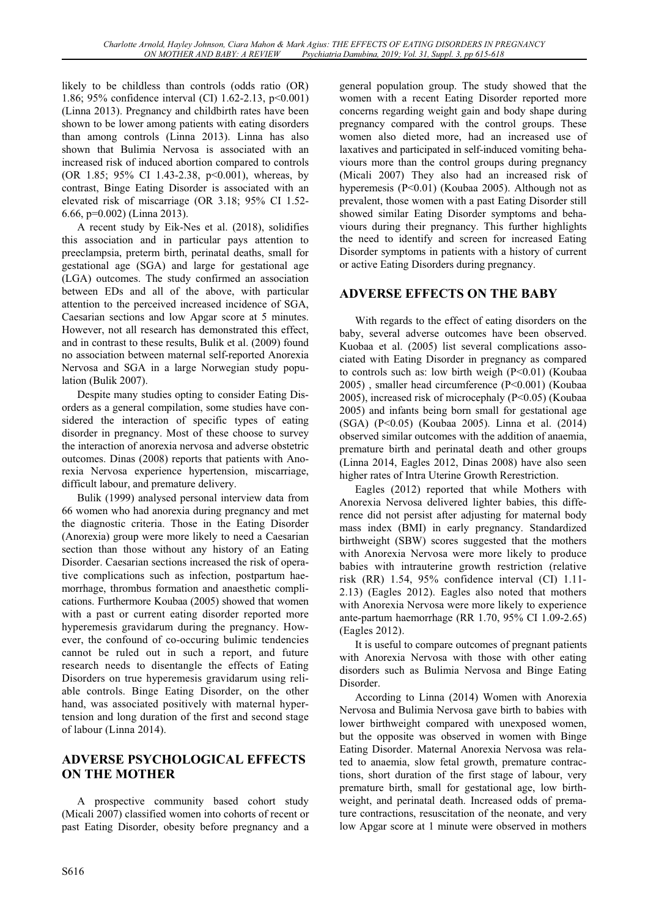likely to be childless than controls (odds ratio (OR) 1.86; 95% confidence interval (CI) 1.62-2.13, p<0.001) (Linna 2013). Pregnancy and childbirth rates have been shown to be lower among patients with eating disorders than among controls (Linna 2013). Linna has also shown that Bulimia Nervosa is associated with an increased risk of induced abortion compared to controls (OR 1.85; 95% CI 1.43-2.38, p<0.001), whereas, by contrast, Binge Eating Disorder is associated with an elevated risk of miscarriage (OR 3.18; 95% CI 1.52- 6.66, p=0.002) (Linna 2013).

A recent study by Eik-Nes et al. (2018), solidifies this association and in particular pays attention to preeclampsia, preterm birth, perinatal deaths, small for gestational age (SGA) and large for gestational age (LGA) outcomes. The study confirmed an association between EDs and all of the above, with particular attention to the perceived increased incidence of SGA, Caesarian sections and low Apgar score at 5 minutes. However, not all research has demonstrated this effect, and in contrast to these results, Bulik et al. (2009) found no association between maternal self-reported Anorexia Nervosa and SGA in a large Norwegian study population (Bulik 2007).

Despite many studies opting to consider Eating Disorders as a general compilation, some studies have considered the interaction of specific types of eating disorder in pregnancy. Most of these choose to survey the interaction of anorexia nervosa and adverse obstetric outcomes. Dinas (2008) reports that patients with Anorexia Nervosa experience hypertension, miscarriage, difficult labour, and premature delivery.

Bulik (1999) analysed personal interview data from 66 women who had anorexia during pregnancy and met the diagnostic criteria. Those in the Eating Disorder (Anorexia) group were more likely to need a Caesarian section than those without any history of an Eating Disorder. Caesarian sections increased the risk of operative complications such as infection, postpartum haemorrhage, thrombus formation and anaesthetic complications. Furthermore Koubaa (2005) showed that women with a past or current eating disorder reported more hyperemesis gravidarum during the pregnancy. However, the confound of co-occuring bulimic tendencies cannot be ruled out in such a report, and future research needs to disentangle the effects of Eating Disorders on true hyperemesis gravidarum using reliable controls. Binge Eating Disorder, on the other hand, was associated positively with maternal hypertension and long duration of the first and second stage of labour (Linna 2014).

### **ADVERSE PSYCHOLOGICAL EFFECTS ON THE MOTHER**

A prospective community based cohort study (Micali 2007) classified women into cohorts of recent or past Eating Disorder, obesity before pregnancy and a general population group. The study showed that the women with a recent Eating Disorder reported more concerns regarding weight gain and body shape during pregnancy compared with the control groups. These women also dieted more, had an increased use of laxatives and participated in self-induced vomiting behaviours more than the control groups during pregnancy (Micali 2007) They also had an increased risk of hyperemesis (P<0.01) (Koubaa 2005). Although not as prevalent, those women with a past Eating Disorder still showed similar Eating Disorder symptoms and behaviours during their pregnancy. This further highlights the need to identify and screen for increased Eating Disorder symptoms in patients with a history of current or active Eating Disorders during pregnancy.

### **ADVERSE EFFECTS ON THE BABY**

With regards to the effect of eating disorders on the baby, several adverse outcomes have been observed. Kuobaa et al. (2005) list several complications associated with Eating Disorder in pregnancy as compared to controls such as: low birth weigh (P<0.01) (Koubaa 2005) , smaller head circumference (P<0.001) (Koubaa 2005), increased risk of microcephaly (P<0.05) (Koubaa 2005) and infants being born small for gestational age (SGA) (P<0.05) (Koubaa 2005). Linna et al. (2014) observed similar outcomes with the addition of anaemia, premature birth and perinatal death and other groups (Linna 2014, Eagles 2012, Dinas 2008) have also seen higher rates of Intra Uterine Growth Rerestriction.

Eagles (2012) reported that while Mothers with Anorexia Nervosa delivered lighter babies, this difference did not persist after adjusting for maternal body mass index (BMI) in early pregnancy. Standardized birthweight (SBW) scores suggested that the mothers with Anorexia Nervosa were more likely to produce babies with intrauterine growth restriction (relative risk (RR) 1.54, 95% confidence interval (CI) 1.11- 2.13) (Eagles 2012). Eagles also noted that mothers with Anorexia Nervosa were more likely to experience ante-partum haemorrhage (RR 1.70, 95% CI 1.09-2.65) (Eagles 2012).

It is useful to compare outcomes of pregnant patients with Anorexia Nervosa with those with other eating disorders such as Bulimia Nervosa and Binge Eating Disorder.

According to Linna (2014) Women with Anorexia Nervosa and Bulimia Nervosa gave birth to babies with lower birthweight compared with unexposed women, but the opposite was observed in women with Binge Eating Disorder. Maternal Anorexia Nervosa was related to anaemia, slow fetal growth, premature contractions, short duration of the first stage of labour, very premature birth, small for gestational age, low birthweight, and perinatal death. Increased odds of premature contractions, resuscitation of the neonate, and very low Apgar score at 1 minute were observed in mothers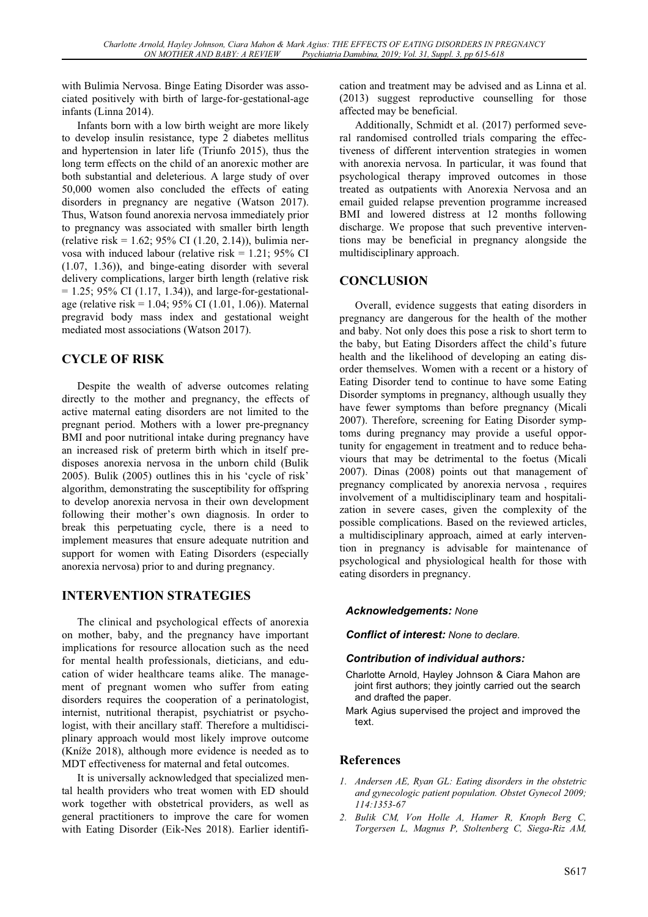with Bulimia Nervosa. Binge Eating Disorder was associated positively with birth of large-for-gestational-age infants (Linna 2014).

Infants born with a low birth weight are more likely to develop insulin resistance, type 2 diabetes mellitus and hypertension in later life (Triunfo 2015), thus the long term effects on the child of an anorexic mother are both substantial and deleterious. A large study of over 50,000 women also concluded the effects of eating disorders in pregnancy are negative (Watson 2017). Thus, Watson found anorexia nervosa immediately prior to pregnancy was associated with smaller birth length (relative risk = 1.62; 95% CI (1.20, 2.14)), bulimia nervosa with induced labour (relative risk  $= 1.21$ ; 95% CI (1.07, 1.36)), and binge-eating disorder with several delivery complications, larger birth length (relative risk  $= 1.25$ ; 95% CI (1.17, 1.34)), and large-for-gestationalage (relative risk = 1.04; 95% CI (1.01, 1.06)). Maternal pregravid body mass index and gestational weight mediated most associations (Watson 2017).

## **CYCLE OF RISK**

Despite the wealth of adverse outcomes relating directly to the mother and pregnancy, the effects of active maternal eating disorders are not limited to the pregnant period. Mothers with a lower pre-pregnancy BMI and poor nutritional intake during pregnancy have an increased risk of preterm birth which in itself predisposes anorexia nervosa in the unborn child (Bulik 2005). Bulik (2005) outlines this in his 'cycle of risk' algorithm, demonstrating the susceptibility for offspring to develop anorexia nervosa in their own development following their mother's own diagnosis. In order to break this perpetuating cycle, there is a need to implement measures that ensure adequate nutrition and support for women with Eating Disorders (especially anorexia nervosa) prior to and during pregnancy.

### **INTERVENTION STRATEGIES**

The clinical and psychological effects of anorexia on mother, baby, and the pregnancy have important implications for resource allocation such as the need for mental health professionals, dieticians, and education of wider healthcare teams alike. The management of pregnant women who suffer from eating disorders requires the cooperation of a perinatologist, internist, nutritional therapist, psychiatrist or psychologist, with their ancillary staff. Therefore a multidisciplinary approach would most likely improve outcome (Kníže 2018), although more evidence is needed as to MDT effectiveness for maternal and fetal outcomes.

It is universally acknowledged that specialized mental health providers who treat women with ED should work together with obstetrical providers, as well as general practitioners to improve the care for women with Eating Disorder (Eik-Nes 2018). Earlier identification and treatment may be advised and as Linna et al. (2013) suggest reproductive counselling for those affected may be beneficial.

Additionally, Schmidt et al. (2017) performed several randomised controlled trials comparing the effectiveness of different intervention strategies in women with anorexia nervosa. In particular, it was found that psychological therapy improved outcomes in those treated as outpatients with Anorexia Nervosa and an email guided relapse prevention programme increased BMI and lowered distress at 12 months following discharge. We propose that such preventive interventions may be beneficial in pregnancy alongside the multidisciplinary approach.

### **CONCLUSION**

Overall, evidence suggests that eating disorders in pregnancy are dangerous for the health of the mother and baby. Not only does this pose a risk to short term to the baby, but Eating Disorders affect the child's future health and the likelihood of developing an eating disorder themselves. Women with a recent or a history of Eating Disorder tend to continue to have some Eating Disorder symptoms in pregnancy, although usually they have fewer symptoms than before pregnancy (Micali 2007). Therefore, screening for Eating Disorder symptoms during pregnancy may provide a useful opportunity for engagement in treatment and to reduce behaviours that may be detrimental to the foetus (Micali 2007). Dinas (2008) points out that management of pregnancy complicated by anorexia nervosa , requires involvement of a multidisciplinary team and hospitalization in severe cases, given the complexity of the possible complications. Based on the reviewed articles, a multidisciplinary approach, aimed at early intervention in pregnancy is advisable for maintenance of psychological and physiological health for those with eating disorders in pregnancy.

### *Acknowledgements: None*

*Conflict of interest: None to declare.*

### *Contribution of individual authors:*

- Charlotte Arnold, Hayley Johnson & Ciara Mahon are joint first authors; they jointly carried out the search and drafted the paper.
- Mark Agius supervised the project and improved the text.

### **References**

- *1. Andersen AE, Ryan GL: Eating disorders in the obstetric and gynecologic patient population. Obstet Gynecol 2009; 114:1353-67*
- *2. Bulik CM, Von Holle A, Hamer R, Knoph Berg C, Torgersen L, Magnus P, Stoltenberg C, Siega-Riz AM,*